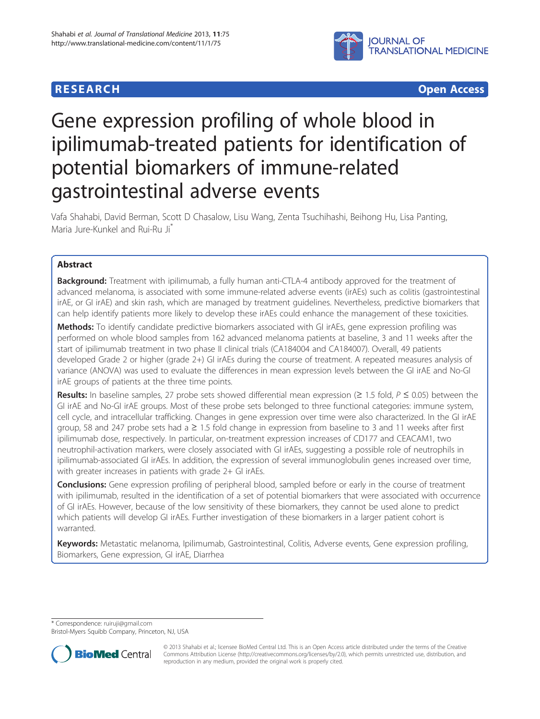

**RESEARCH CHEAR CHEAR CHEAR CHEAR CHEAR CHEAR CHEAR CHEAR CHEAR CHEAR CHEAR CHEAR CHEAR CHEAR CHEAR CHEAR CHEAR** 

# Gene expression profiling of whole blood in ipilimumab-treated patients for identification of potential biomarkers of immune-related gastrointestinal adverse events

Vafa Shahabi, David Berman, Scott D Chasalow, Lisu Wang, Zenta Tsuchihashi, Beihong Hu, Lisa Panting, Maria Jure-Kunkel and Rui-Ru Ji

# Abstract

**Background:** Treatment with ipilimumab, a fully human anti-CTLA-4 antibody approved for the treatment of advanced melanoma, is associated with some immune-related adverse events (irAEs) such as colitis (gastrointestinal irAE, or GI irAE) and skin rash, which are managed by treatment guidelines. Nevertheless, predictive biomarkers that can help identify patients more likely to develop these irAEs could enhance the management of these toxicities.

Methods: To identify candidate predictive biomarkers associated with GI irAEs, gene expression profiling was performed on whole blood samples from 162 advanced melanoma patients at baseline, 3 and 11 weeks after the start of ipilimumab treatment in two phase II clinical trials (CA184004 and CA184007). Overall, 49 patients developed Grade 2 or higher (grade 2+) GI irAEs during the course of treatment. A repeated measures analysis of variance (ANOVA) was used to evaluate the differences in mean expression levels between the GI irAE and No-GI irAE groups of patients at the three time points.

Results: In baseline samples, 27 probe sets showed differential mean expression ( $\geq 1.5$  fold,  $P \leq 0.05$ ) between the GI irAE and No-GI irAE groups. Most of these probe sets belonged to three functional categories: immune system, cell cycle, and intracellular trafficking. Changes in gene expression over time were also characterized. In the GI irAE group, 58 and 247 probe sets had a  $\geq$  1.5 fold change in expression from baseline to 3 and 11 weeks after first ipilimumab dose, respectively. In particular, on-treatment expression increases of CD177 and CEACAM1, two neutrophil-activation markers, were closely associated with GI irAEs, suggesting a possible role of neutrophils in ipilimumab-associated GI irAEs. In addition, the expression of several immunoglobulin genes increased over time, with greater increases in patients with grade 2+ GI irAEs.

**Conclusions:** Gene expression profiling of peripheral blood, sampled before or early in the course of treatment with ipilimumab, resulted in the identification of a set of potential biomarkers that were associated with occurrence of GI irAEs. However, because of the low sensitivity of these biomarkers, they cannot be used alone to predict which patients will develop GI irAEs. Further investigation of these biomarkers in a larger patient cohort is warranted.

Keywords: Metastatic melanoma, Ipilimumab, Gastrointestinal, Colitis, Adverse events, Gene expression profiling, Biomarkers, Gene expression, GI irAE, Diarrhea

\* Correspondence: [ruiruji@gmail.com](mailto:ruiruji@gmail.com)

Bristol-Myers Squibb Company, Princeton, NJ, USA



© 2013 Shahabi et al.; licensee BioMed Central Ltd. This is an Open Access article distributed under the terms of the Creative Commons Attribution License [\(http://creativecommons.org/licenses/by/2.0\)](http://creativecommons.org/licenses/by/2.0), which permits unrestricted use, distribution, and reproduction in any medium, provided the original work is properly cited.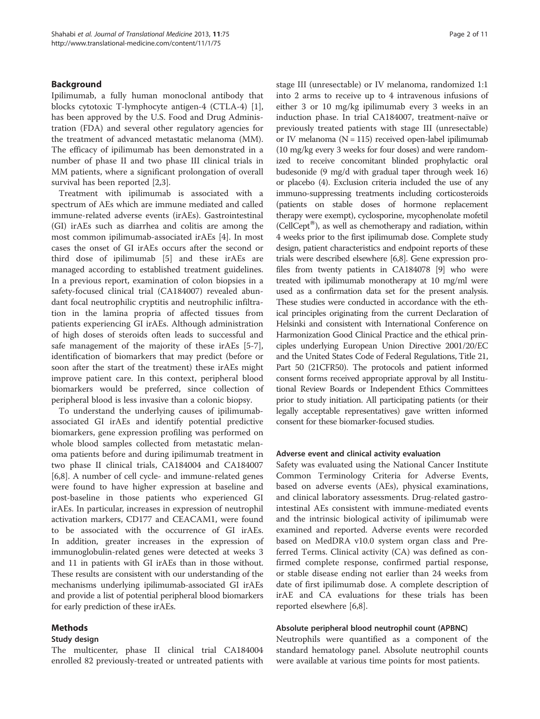# Background

Ipilimumab, a fully human monoclonal antibody that blocks cytotoxic T-lymphocyte antigen-4 (CTLA-4) [\[1](#page-9-0)], has been approved by the U.S. Food and Drug Administration (FDA) and several other regulatory agencies for the treatment of advanced metastatic melanoma (MM). The efficacy of ipilimumab has been demonstrated in a number of phase II and two phase III clinical trials in MM patients, where a significant prolongation of overall survival has been reported [\[2,3\]](#page-9-0).

Treatment with ipilimumab is associated with a spectrum of AEs which are immune mediated and called immune-related adverse events (irAEs). Gastrointestinal (GI) irAEs such as diarrhea and colitis are among the most common ipilimumab-associated irAEs [\[4](#page-9-0)]. In most cases the onset of GI irAEs occurs after the second or third dose of ipilimumab [\[5](#page-9-0)] and these irAEs are managed according to established treatment guidelines. In a previous report, examination of colon biopsies in a safety-focused clinical trial (CA184007) revealed abundant focal neutrophilic cryptitis and neutrophilic infiltration in the lamina propria of affected tissues from patients experiencing GI irAEs. Although administration of high doses of steroids often leads to successful and safe management of the majority of these irAEs [[5-7](#page-9-0)], identification of biomarkers that may predict (before or soon after the start of the treatment) these irAEs might improve patient care. In this context, peripheral blood biomarkers would be preferred, since collection of peripheral blood is less invasive than a colonic biopsy.

To understand the underlying causes of ipilimumabassociated GI irAEs and identify potential predictive biomarkers, gene expression profiling was performed on whole blood samples collected from metastatic melanoma patients before and during ipilimumab treatment in two phase II clinical trials, CA184004 and CA184007 [[6,8\]](#page-9-0). A number of cell cycle- and immune-related genes were found to have higher expression at baseline and post-baseline in those patients who experienced GI irAEs. In particular, increases in expression of neutrophil activation markers, CD177 and CEACAM1, were found to be associated with the occurrence of GI irAEs. In addition, greater increases in the expression of immunoglobulin-related genes were detected at weeks 3 and 11 in patients with GI irAEs than in those without. These results are consistent with our understanding of the mechanisms underlying ipilimumab-associated GI irAEs and provide a list of potential peripheral blood biomarkers for early prediction of these irAEs.

# Methods

#### Study design

The multicenter, phase II clinical trial CA184004 enrolled 82 previously-treated or untreated patients with

stage III (unresectable) or IV melanoma, randomized 1:1 into 2 arms to receive up to 4 intravenous infusions of either 3 or 10 mg/kg ipilimumab every 3 weeks in an induction phase. In trial CA184007, treatment-naïve or previously treated patients with stage III (unresectable) or IV melanoma  $(N = 115)$  received open-label ipilimumab (10 mg/kg every 3 weeks for four doses) and were randomized to receive concomitant blinded prophylactic oral budesonide (9 mg/d with gradual taper through week 16) or placebo (4). Exclusion criteria included the use of any immuno-suppressing treatments including corticosteroids (patients on stable doses of hormone replacement therapy were exempt), cyclosporine, mycophenolate mofetil  $(CellCep<sup>®</sup>)$ , as well as chemotherapy and radiation, within 4 weeks prior to the first ipilimumab dose. Complete study design, patient characteristics and endpoint reports of these trials were described elsewhere [\[6,8\]](#page-9-0). Gene expression profiles from twenty patients in CA184078 [[9](#page-9-0)] who were treated with ipilimumab monotherapy at 10 mg/ml were used as a confirmation data set for the present analysis. These studies were conducted in accordance with the ethical principles originating from the current Declaration of Helsinki and consistent with International Conference on Harmonization Good Clinical Practice and the ethical principles underlying European Union Directive 2001/20/EC and the United States Code of Federal Regulations, Title 21, Part 50 (21CFR50). The protocols and patient informed consent forms received appropriate approval by all Institutional Review Boards or Independent Ethics Committees prior to study initiation. All participating patients (or their legally acceptable representatives) gave written informed consent for these biomarker-focused studies.

#### Adverse event and clinical activity evaluation

Safety was evaluated using the National Cancer Institute Common Terminology Criteria for Adverse Events, based on adverse events (AEs), physical examinations, and clinical laboratory assessments. Drug-related gastrointestinal AEs consistent with immune-mediated events and the intrinsic biological activity of ipilimumab were examined and reported. Adverse events were recorded based on MedDRA v10.0 system organ class and Preferred Terms. Clinical activity (CA) was defined as confirmed complete response, confirmed partial response, or stable disease ending not earlier than 24 weeks from date of first ipilimumab dose. A complete description of irAE and CA evaluations for these trials has been reported elsewhere [\[6,8](#page-9-0)].

#### Absolute peripheral blood neutrophil count (APBNC)

Neutrophils were quantified as a component of the standard hematology panel. Absolute neutrophil counts were available at various time points for most patients.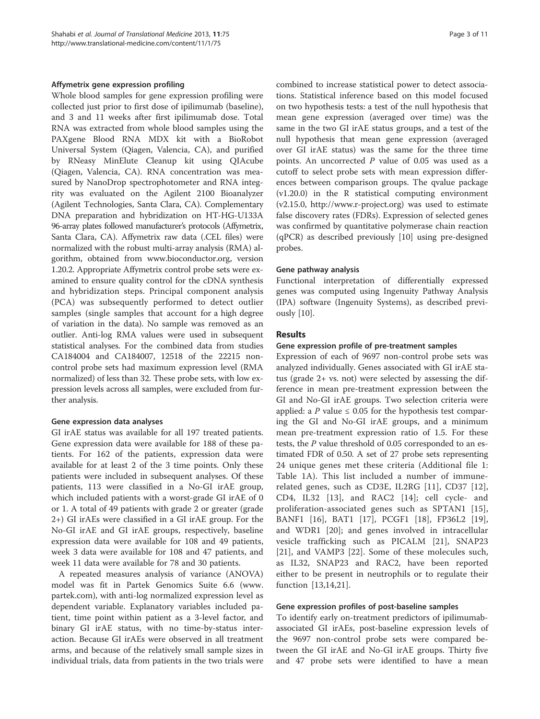#### Affymetrix gene expression profiling

Whole blood samples for gene expression profiling were collected just prior to first dose of ipilimumab (baseline), and 3 and 11 weeks after first ipilimumab dose. Total RNA was extracted from whole blood samples using the PAXgene Blood RNA MDX kit with a BioRobot Universal System (Qiagen, Valencia, CA), and purified by RNeasy MinElute Cleanup kit using QIAcube (Qiagen, Valencia, CA). RNA concentration was measured by NanoDrop spectrophotometer and RNA integrity was evaluated on the Agilent 2100 Bioanalyzer (Agilent Technologies, Santa Clara, CA). Complementary DNA preparation and hybridization on HT-HG-U133A 96-array plates followed manufacturer's protocols (Affymetrix, Santa Clara, CA). Affymetrix raw data (.CEL files) were normalized with the robust multi-array analysis (RMA) algorithm, obtained from [www.bioconductor.org,](http://www.bioconductor.org) version 1.20.2. Appropriate Affymetrix control probe sets were examined to ensure quality control for the cDNA synthesis and hybridization steps. Principal component analysis (PCA) was subsequently performed to detect outlier samples (single samples that account for a high degree of variation in the data). No sample was removed as an outlier. Anti-log RMA values were used in subsequent statistical analyses. For the combined data from studies CA184004 and CA184007, 12518 of the 22215 noncontrol probe sets had maximum expression level (RMA normalized) of less than 32. These probe sets, with low expression levels across all samples, were excluded from further analysis.

# Gene expression data analyses

GI irAE status was available for all 197 treated patients. Gene expression data were available for 188 of these patients. For 162 of the patients, expression data were available for at least 2 of the 3 time points. Only these patients were included in subsequent analyses. Of these patients, 113 were classified in a No-GI irAE group, which included patients with a worst-grade GI irAE of 0 or 1. A total of 49 patients with grade 2 or greater (grade 2+) GI irAEs were classified in a GI irAE group. For the No-GI irAE and GI irAE groups, respectively, baseline expression data were available for 108 and 49 patients, week 3 data were available for 108 and 47 patients, and week 11 data were available for 78 and 30 patients.

A repeated measures analysis of variance (ANOVA) model was fit in Partek Genomics Suite 6.6 ([www.](http://www.partek.com) [partek.com](http://www.partek.com)), with anti-log normalized expression level as dependent variable. Explanatory variables included patient, time point within patient as a 3-level factor, and binary GI irAE status, with no time-by-status interaction. Because GI irAEs were observed in all treatment arms, and because of the relatively small sample sizes in individual trials, data from patients in the two trials were combined to increase statistical power to detect associations. Statistical inference based on this model focused on two hypothesis tests: a test of the null hypothesis that mean gene expression (averaged over time) was the same in the two GI irAE status groups, and a test of the null hypothesis that mean gene expression (averaged over GI irAE status) was the same for the three time points. An uncorrected  $P$  value of 0.05 was used as a cutoff to select probe sets with mean expression differences between comparison groups. The qvalue package (v1.20.0) in the R statistical computing environment (v2.15.0, [http://www.r-project.org\)](http://www.r-project.org) was used to estimate false discovery rates (FDRs). Expression of selected genes was confirmed by quantitative polymerase chain reaction (qPCR) as described previously [[10\]](#page-9-0) using pre-designed probes.

#### Gene pathway analysis

Functional interpretation of differentially expressed genes was computed using Ingenuity Pathway Analysis (IPA) software (Ingenuity Systems), as described previously [[10\]](#page-9-0).

#### Results

#### Gene expression profile of pre-treatment samples

Expression of each of 9697 non-control probe sets was analyzed individually. Genes associated with GI irAE status (grade 2+ vs. not) were selected by assessing the difference in mean pre-treatment expression between the GI and No-GI irAE groups. Two selection criteria were applied: a P value  $\leq 0.05$  for the hypothesis test comparing the GI and No-GI irAE groups, and a minimum mean pre-treatment expression ratio of 1.5. For these tests, the P value threshold of 0.05 corresponded to an estimated FDR of 0.50. A set of 27 probe sets representing 24 unique genes met these criteria (Additional file [1](#page-8-0): Table 1A). This list included a number of immunerelated genes, such as CD3E, IL2RG [\[11](#page-9-0)], CD37 [[12](#page-9-0)], CD4, IL32 [[13\]](#page-9-0), and RAC2 [[14](#page-9-0)]; cell cycle- and proliferation-associated genes such as SPTAN1 [[15](#page-9-0)], BANF1 [[16\]](#page-9-0), BAT1 [[17\]](#page-9-0), PCGF1 [[18\]](#page-9-0), FP36L2 [\[19](#page-9-0)], and WDR1 [[20](#page-9-0)]; and genes involved in intracellular vesicle trafficking such as PICALM [\[21](#page-9-0)], SNAP23 [[21\]](#page-9-0), and VAMP3 [\[22](#page-9-0)]. Some of these molecules such, as IL32, SNAP23 and RAC2, have been reported either to be present in neutrophils or to regulate their function [[13,14,21](#page-9-0)].

#### Gene expression profiles of post-baseline samples

To identify early on-treatment predictors of ipilimumabassociated GI irAEs, post-baseline expression levels of the 9697 non-control probe sets were compared between the GI irAE and No-GI irAE groups. Thirty five and 47 probe sets were identified to have a mean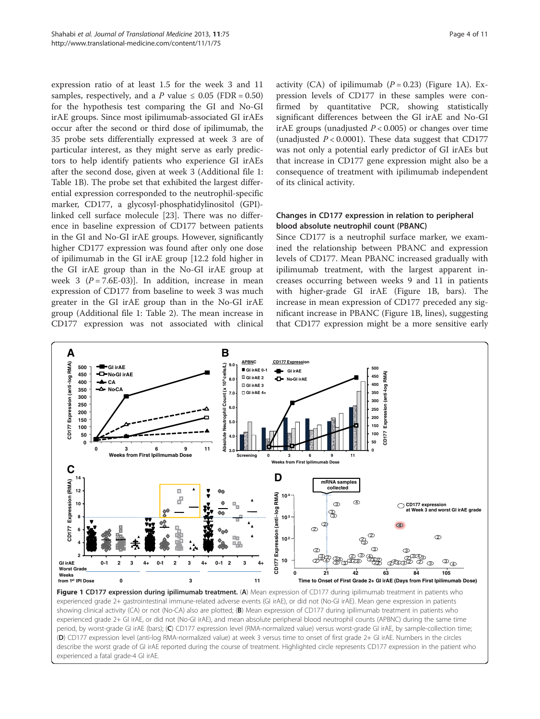<span id="page-3-0"></span>expression ratio of at least 1.5 for the week 3 and 11 samples, respectively, and a P value  $\leq$  0.05 (FDR = 0.50) for the hypothesis test comparing the GI and No-GI irAE groups. Since most ipilimumab-associated GI irAEs occur after the second or third dose of ipilimumab, the 35 probe sets differentially expressed at week 3 are of particular interest, as they might serve as early predictors to help identify patients who experience GI irAEs after the second dose, given at week 3 (Additional file [1](#page-8-0): Table 1B). The probe set that exhibited the largest differential expression corresponded to the neutrophil-specific marker, CD177, a glycosyl-phosphatidylinositol (GPI) linked cell surface molecule [[23](#page-9-0)]. There was no difference in baseline expression of CD177 between patients in the GI and No-GI irAE groups. However, significantly higher CD177 expression was found after only one dose of ipilimumab in the GI irAE group [12.2 fold higher in the GI irAE group than in the No-GI irAE group at week 3  $(P = 7.6E-03)$ ]. In addition, increase in mean expression of CD177 from baseline to week 3 was much greater in the GI irAE group than in the No-GI irAE group (Additional file [1](#page-8-0): Table 2). The mean increase in CD177 expression was not associated with clinical

activity (CA) of ipilimumab  $(P = 0.23)$  (Figure 1A). Expression levels of CD177 in these samples were confirmed by quantitative PCR, showing statistically significant differences between the GI irAE and No-GI irAE groups (unadjusted  $P < 0.005$ ) or changes over time (unadjusted  $P < 0.0001$ ). These data suggest that CD177 was not only a potential early predictor of GI irAEs but that increase in CD177 gene expression might also be a consequence of treatment with ipilimumab independent of its clinical activity.

# Changes in CD177 expression in relation to peripheral blood absolute neutrophil count (PBANC)

Since CD177 is a neutrophil surface marker, we examined the relationship between PBANC and expression levels of CD177. Mean PBANC increased gradually with ipilimumab treatment, with the largest apparent increases occurring between weeks 9 and 11 in patients with higher-grade GI irAE (Figure 1B, bars). The increase in mean expression of CD177 preceded any significant increase in PBANC (Figure 1B, lines), suggesting that CD177 expression might be a more sensitive early



Figure 1 CD177 expression during ipilimumab treatment. (A) Mean expression of CD177 during ipilimumab treatment in patients who experienced grade 2+ gastrointestinal immune-related adverse events (GI irAE), or did not (No-GI irAE). Mean gene expression in patients showing clinical activity (CA) or not (No-CA) also are plotted; (B) Mean expression of CD177 during ipilimumab treatment in patients who experienced grade 2+ GI irAE, or did not (No-GI irAE), and mean absolute peripheral blood neutrophil counts (APBNC) during the same time period, by worst-grade GI irAE (bars); (C) CD177 expression level (RMA-normalized value) versus worst-grade GI irAE, by sample-collection time; (D) CD177 expression level (anti-log RMA-normalized value) at week 3 versus time to onset of first grade 2+ GI irAE. Numbers in the circles describe the worst grade of GI irAE reported during the course of treatment. Highlighted circle represents CD177 expression in the patient who experienced a fatal grade-4 GI irAE.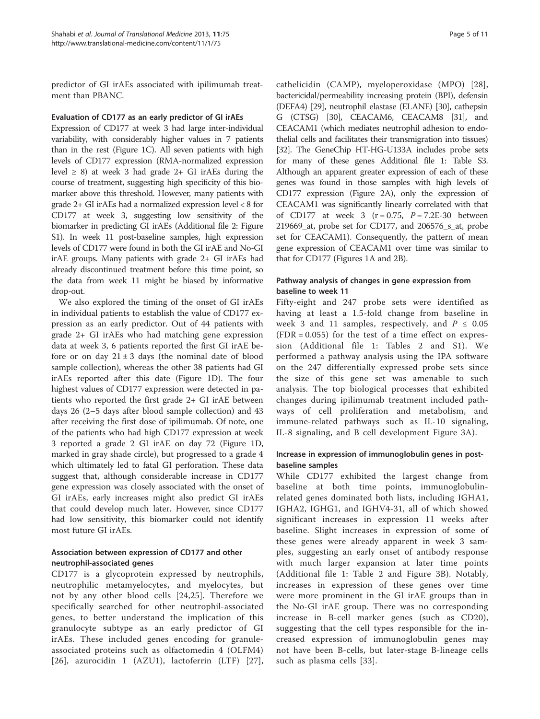predictor of GI irAEs associated with ipilimumab treatment than PBANC.

# Evaluation of CD177 as an early predictor of GI irAEs

Expression of CD177 at week 3 had large inter-individual variability, with considerably higher values in 7 patients than in the rest (Figure [1C](#page-3-0)). All seven patients with high levels of CD177 expression (RMA-normalized expression level  $\geq$  8) at week 3 had grade 2+ GI irAEs during the course of treatment, suggesting high specificity of this biomarker above this threshold. However, many patients with grade 2+ GI irAEs had a normalized expression level < 8 for CD177 at week 3, suggesting low sensitivity of the biomarker in predicting GI irAEs (Additional file [2](#page-8-0): Figure S1). In week 11 post-baseline samples, high expression levels of CD177 were found in both the GI irAE and No-GI irAE groups. Many patients with grade 2+ GI irAEs had already discontinued treatment before this time point, so the data from week 11 might be biased by informative drop-out.

We also explored the timing of the onset of GI irAEs in individual patients to establish the value of CD177 expression as an early predictor. Out of 44 patients with grade 2+ GI irAEs who had matching gene expression data at week 3, 6 patients reported the first GI irAE before or on day  $21 \pm 3$  days (the nominal date of blood sample collection), whereas the other 38 patients had GI irAEs reported after this date (Figure [1](#page-3-0)D). The four highest values of CD177 expression were detected in patients who reported the first grade 2+ GI irAE between days 26 (2–5 days after blood sample collection) and 43 after receiving the first dose of ipilimumab. Of note, one of the patients who had high CD177 expression at week 3 reported a grade 2 GI irAE on day 72 (Figure [1](#page-3-0)D, marked in gray shade circle), but progressed to a grade 4 which ultimately led to fatal GI perforation. These data suggest that, although considerable increase in CD177 gene expression was closely associated with the onset of GI irAEs, early increases might also predict GI irAEs that could develop much later. However, since CD177 had low sensitivity, this biomarker could not identify most future GI irAEs.

# Association between expression of CD177 and other neutrophil-associated genes

CD177 is a glycoprotein expressed by neutrophils, neutrophilic metamyelocytes, and myelocytes, but not by any other blood cells [[24,25](#page-9-0)]. Therefore we specifically searched for other neutrophil-associated genes, to better understand the implication of this granulocyte subtype as an early predictor of GI irAEs. These included genes encoding for granuleassociated proteins such as olfactomedin 4 (OLFM4) [[26](#page-9-0)], azurocidin 1 (AZU1), lactoferrin (LTF) [[27](#page-9-0)],

cathelicidin (CAMP), myeloperoxidase (MPO) [[28](#page-9-0)], bactericidal/permeability increasing protein (BPI), defensin (DEFA4) [\[29\]](#page-9-0), neutrophil elastase (ELANE) [[30\]](#page-9-0), cathepsin G (CTSG) [\[30\]](#page-9-0), CEACAM6, CEACAM8 [[31](#page-9-0)], and CEACAM1 (which mediates neutrophil adhesion to endothelial cells and facilitates their transmigration into tissues) [[32](#page-9-0)]. The GeneChip HT-HG-U133A includes probe sets for many of these genes Additional file [1:](#page-8-0) Table S3. Although an apparent greater expression of each of these genes was found in those samples with high levels of CD177 expression (Figure [2](#page-5-0)A), only the expression of CEACAM1 was significantly linearly correlated with that of CD177 at week 3 ( $r = 0.75$ ,  $P = 7.2E-30$  between 219669\_at, probe set for CD177, and 206576\_s\_at, probe set for CEACAM1). Consequently, the pattern of mean gene expression of CEACAM1 over time was similar to that for CD177 (Figures [1](#page-3-0)A and [2](#page-5-0)B).

# Pathway analysis of changes in gene expression from baseline to week 11

Fifty-eight and 247 probe sets were identified as having at least a 1.5-fold change from baseline in week 3 and 11 samples, respectively, and  $P \le 0.05$  $(FDR = 0.055)$  for the test of a time effect on expression (Additional file [1:](#page-8-0) Tables 2 and S1). We performed a pathway analysis using the IPA software on the 247 differentially expressed probe sets since the size of this gene set was amenable to such analysis. The top biological processes that exhibited changes during ipilimumab treatment included pathways of cell proliferation and metabolism, and immune-related pathways such as IL-10 signaling, IL-8 signaling, and B cell development Figure [3A](#page-6-0)).

# Increase in expression of immunoglobulin genes in postbaseline samples

While CD177 exhibited the largest change from baseline at both time points, immunoglobulinrelated genes dominated both lists, including IGHA1, IGHA2, IGHG1, and IGHV4-31, all of which showed significant increases in expression 11 weeks after baseline. Slight increases in expression of some of these genes were already apparent in week 3 samples, suggesting an early onset of antibody response with much larger expansion at later time points (Additional file [1:](#page-8-0) Table 2 and Figure [3B](#page-6-0)). Notably, increases in expression of these genes over time were more prominent in the GI irAE groups than in the No-GI irAE group. There was no corresponding increase in B-cell marker genes (such as CD20), suggesting that the cell types responsible for the increased expression of immunoglobulin genes may not have been B-cells, but later-stage B-lineage cells such as plasma cells [\[33\]](#page-9-0).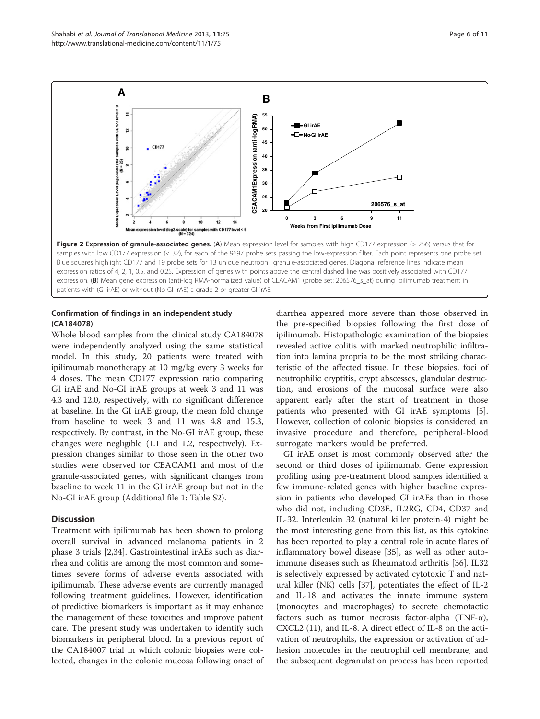<span id="page-5-0"></span>

samples with low CD177 expression (< 32), for each of the 9697 probe sets passing the low-expression filter. Each point represents one probe set. Blue squares highlight CD177 and 19 probe sets for 13 unique neutrophil granule-associated genes. Diagonal reference lines indicate mean expression ratios of 4, 2, 1, 0.5, and 0.25. Expression of genes with points above the central dashed line was positively associated with CD177 expression. (B) Mean gene expression (anti-log RMA-normalized value) of CEACAM1 (probe set: 206576\_s\_at) during ipilimumab treatment in patients with (GI irAE) or without (No-GI irAE) a grade 2 or greater GI irAE.

# Confirmation of findings in an independent study (CA184078)

Whole blood samples from the clinical study CA184078 were independently analyzed using the same statistical model. In this study, 20 patients were treated with ipilimumab monotherapy at 10 mg/kg every 3 weeks for 4 doses. The mean CD177 expression ratio comparing GI irAE and No-GI irAE groups at week 3 and 11 was 4.3 and 12.0, respectively, with no significant difference at baseline. In the GI irAE group, the mean fold change from baseline to week 3 and 11 was 4.8 and 15.3, respectively. By contrast, in the No-GI irAE group, these changes were negligible (1.1 and 1.2, respectively). Expression changes similar to those seen in the other two studies were observed for CEACAM1 and most of the granule-associated genes, with significant changes from baseline to week 11 in the GI irAE group but not in the No-GI irAE group (Additional file [1](#page-8-0): Table S2).

# **Discussion**

Treatment with ipilimumab has been shown to prolong overall survival in advanced melanoma patients in 2 phase 3 trials [\[2,34\]](#page-9-0). Gastrointestinal irAEs such as diarrhea and colitis are among the most common and sometimes severe forms of adverse events associated with ipilimumab. These adverse events are currently managed following treatment guidelines. However, identification of predictive biomarkers is important as it may enhance the management of these toxicities and improve patient care. The present study was undertaken to identify such biomarkers in peripheral blood. In a previous report of the CA184007 trial in which colonic biopsies were collected, changes in the colonic mucosa following onset of diarrhea appeared more severe than those observed in the pre-specified biopsies following the first dose of ipilimumab. Histopathologic examination of the biopsies revealed active colitis with marked neutrophilic infiltration into lamina propria to be the most striking characteristic of the affected tissue. In these biopsies, foci of neutrophilic cryptitis, crypt abscesses, glandular destruction, and erosions of the mucosal surface were also apparent early after the start of treatment in those patients who presented with GI irAE symptoms [\[5](#page-9-0)]. However, collection of colonic biopsies is considered an invasive procedure and therefore, peripheral-blood surrogate markers would be preferred.

GI irAE onset is most commonly observed after the second or third doses of ipilimumab. Gene expression profiling using pre-treatment blood samples identified a few immune-related genes with higher baseline expression in patients who developed GI irAEs than in those who did not, including CD3E, IL2RG, CD4, CD37 and IL-32. Interleukin 32 (natural killer protein-4) might be the most interesting gene from this list, as this cytokine has been reported to play a central role in acute flares of inflammatory bowel disease [\[35](#page-9-0)], as well as other autoimmune diseases such as Rheumatoid arthritis [[36\]](#page-9-0). IL32 is selectively expressed by activated cytotoxic T and natural killer (NK) cells [\[37](#page-9-0)], potentiates the effect of IL-2 and IL-18 and activates the innate immune system (monocytes and macrophages) to secrete chemotactic factors such as tumor necrosis factor-alpha (TNF- $\alpha$ ), CXCL2 (11), and IL-8. A direct effect of IL-8 on the activation of neutrophils, the expression or activation of adhesion molecules in the neutrophil cell membrane, and the subsequent degranulation process has been reported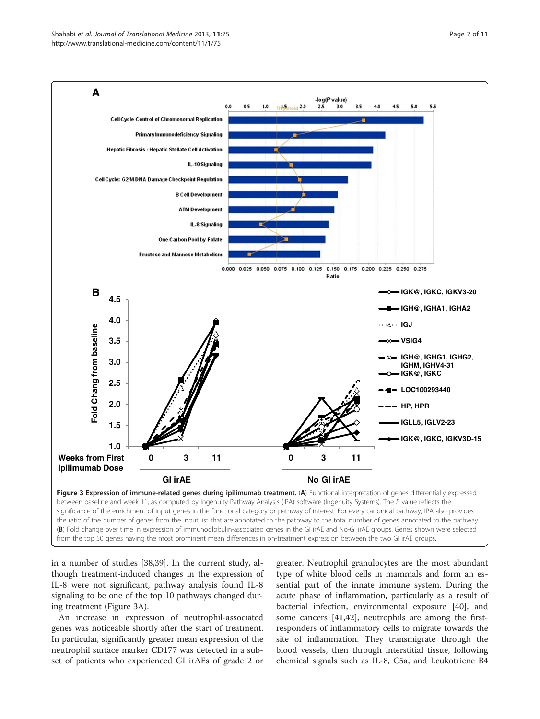<span id="page-6-0"></span>

in a number of studies [[38,39\]](#page-9-0). In the current study, although treatment-induced changes in the expression of IL-8 were not significant, pathway analysis found IL-8 signaling to be one of the top 10 pathways changed during treatment (Figure 3A).

An increase in expression of neutrophil-associated genes was noticeable shortly after the start of treatment. In particular, significantly greater mean expression of the neutrophil surface marker CD177 was detected in a subset of patients who experienced GI irAEs of grade 2 or greater. Neutrophil granulocytes are the most abundant type of white blood cells in mammals and form an essential part of the innate immune system. During the acute phase of inflammation, particularly as a result of bacterial infection, environmental exposure [\[40\]](#page-9-0), and some cancers [\[41,42\]](#page-10-0), neutrophils are among the firstresponders of inflammatory cells to migrate towards the site of inflammation. They transmigrate through the blood vessels, then through interstitial tissue, following chemical signals such as IL-8, C5a, and Leukotriene B4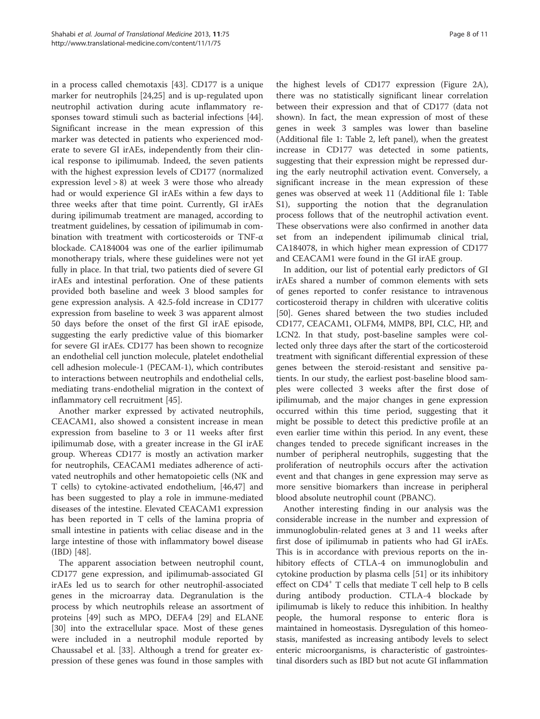in a process called chemotaxis [\[43\]](#page-10-0). CD177 is a unique marker for neutrophils [[24](#page-9-0),[25](#page-9-0)] and is up-regulated upon neutrophil activation during acute inflammatory responses toward stimuli such as bacterial infections [\[44](#page-10-0)]. Significant increase in the mean expression of this marker was detected in patients who experienced moderate to severe GI irAEs, independently from their clinical response to ipilimumab. Indeed, the seven patients with the highest expression levels of CD177 (normalized expression level > 8) at week 3 were those who already had or would experience GI irAEs within a few days to three weeks after that time point. Currently, GI irAEs during ipilimumab treatment are managed, according to treatment guidelines, by cessation of ipilimumab in combination with treatment with corticosteroids or TNF-α blockade. CA184004 was one of the earlier ipilimumab monotherapy trials, where these guidelines were not yet fully in place. In that trial, two patients died of severe GI irAEs and intestinal perforation. One of these patients provided both baseline and week 3 blood samples for gene expression analysis. A 42.5-fold increase in CD177 expression from baseline to week 3 was apparent almost 50 days before the onset of the first GI irAE episode, suggesting the early predictive value of this biomarker for severe GI irAEs. CD177 has been shown to recognize an endothelial cell junction molecule, platelet endothelial cell adhesion molecule-1 (PECAM-1), which contributes to interactions between neutrophils and endothelial cells, mediating trans-endothelial migration in the context of inflammatory cell recruitment [[45\]](#page-10-0).

Another marker expressed by activated neutrophils, CEACAM1, also showed a consistent increase in mean expression from baseline to 3 or 11 weeks after first ipilimumab dose, with a greater increase in the GI irAE group. Whereas CD177 is mostly an activation marker for neutrophils, CEACAM1 mediates adherence of activated neutrophils and other hematopoietic cells (NK and T cells) to cytokine-activated endothelium, [[46,47\]](#page-10-0) and has been suggested to play a role in immune-mediated diseases of the intestine. Elevated CEACAM1 expression has been reported in T cells of the lamina propria of small intestine in patients with celiac disease and in the large intestine of those with inflammatory bowel disease  $(IBD)$  [\[48](#page-10-0)].

The apparent association between neutrophil count, CD177 gene expression, and ipilimumab-associated GI irAEs led us to search for other neutrophil-associated genes in the microarray data. Degranulation is the process by which neutrophils release an assortment of proteins [\[49](#page-10-0)] such as MPO, DEFA4 [[29\]](#page-9-0) and ELANE [[30\]](#page-9-0) into the extracellular space. Most of these genes were included in a neutrophil module reported by Chaussabel et al. [\[33\]](#page-9-0). Although a trend for greater expression of these genes was found in those samples with

the highest levels of CD177 expression (Figure [2](#page-5-0)A), there was no statistically significant linear correlation between their expression and that of CD177 (data not shown). In fact, the mean expression of most of these genes in week 3 samples was lower than baseline (Additional file [1](#page-8-0): Table 2, left panel), when the greatest increase in CD177 was detected in some patients, suggesting that their expression might be repressed during the early neutrophil activation event. Conversely, a significant increase in the mean expression of these genes was observed at week 11 (Additional file [1:](#page-8-0) Table S1), supporting the notion that the degranulation process follows that of the neutrophil activation event. These observations were also confirmed in another data set from an independent ipilimumab clinical trial, CA184078, in which higher mean expression of CD177 and CEACAM1 were found in the GI irAE group.

In addition, our list of potential early predictors of GI irAEs shared a number of common elements with sets of genes reported to confer resistance to intravenous corticosteroid therapy in children with ulcerative colitis [[50\]](#page-10-0). Genes shared between the two studies included CD177, CEACAM1, OLFM4, MMP8, BPI, CLC, HP, and LCN2. In that study, post-baseline samples were collected only three days after the start of the corticosteroid treatment with significant differential expression of these genes between the steroid-resistant and sensitive patients. In our study, the earliest post-baseline blood samples were collected 3 weeks after the first dose of ipilimumab, and the major changes in gene expression occurred within this time period, suggesting that it might be possible to detect this predictive profile at an even earlier time within this period. In any event, these changes tended to precede significant increases in the number of peripheral neutrophils, suggesting that the proliferation of neutrophils occurs after the activation event and that changes in gene expression may serve as more sensitive biomarkers than increase in peripheral blood absolute neutrophil count (PBANC).

Another interesting finding in our analysis was the considerable increase in the number and expression of immunoglobulin-related genes at 3 and 11 weeks after first dose of ipilimumab in patients who had GI irAEs. This is in accordance with previous reports on the inhibitory effects of CTLA-4 on immunoglobulin and cytokine production by plasma cells [\[51](#page-10-0)] or its inhibitory effect on  $CD4^+$  T cells that mediate T cell help to B cells during antibody production. CTLA-4 blockade by ipilimumab is likely to reduce this inhibition. In healthy people, the humoral response to enteric flora is maintained in homeostasis. Dysregulation of this homeostasis, manifested as increasing antibody levels to select enteric microorganisms, is characteristic of gastrointestinal disorders such as IBD but not acute GI inflammation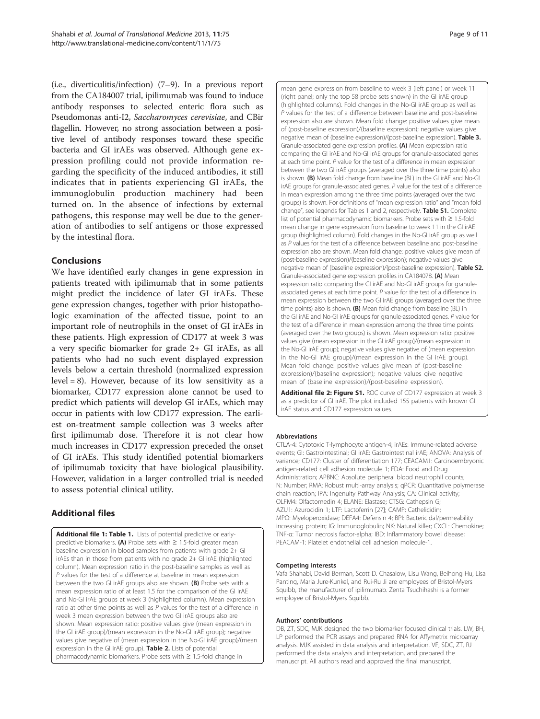<span id="page-8-0"></span>(i.e., diverticulitis/infection) (7–9). In a previous report from the CA184007 trial, ipilimumab was found to induce antibody responses to selected enteric flora such as Pseudomonas anti-I2, Saccharomyces cerevisiae, and CBir flagellin. However, no strong association between a positive level of antibody responses toward these specific bacteria and GI irAEs was observed. Although gene expression profiling could not provide information regarding the specificity of the induced antibodies, it still indicates that in patients experiencing GI irAEs, the immunoglobulin production machinery had been turned on. In the absence of infections by external pathogens, this response may well be due to the generation of antibodies to self antigens or those expressed by the intestinal flora.

# Conclusions

We have identified early changes in gene expression in patients treated with ipilimumab that in some patients might predict the incidence of later GI irAEs. These gene expression changes, together with prior histopathologic examination of the affected tissue, point to an important role of neutrophils in the onset of GI irAEs in these patients. High expression of CD177 at week 3 was a very specific biomarker for grade 2+ GI irAEs, as all patients who had no such event displayed expression levels below a certain threshold (normalized expression  $level = 8$ ). However, because of its low sensitivity as a biomarker, CD177 expression alone cannot be used to predict which patients will develop GI irAEs, which may occur in patients with low CD177 expression. The earliest on-treatment sample collection was 3 weeks after first ipilimumab dose. Therefore it is not clear how much increases in CD177 expression preceded the onset of GI irAEs. This study identified potential biomarkers of ipilimumab toxicity that have biological plausibility. However, validation in a larger controlled trial is needed to assess potential clinical utility.

# Additional files

[Additional file 1: Table 1.](http://www.biomedcentral.com/content/supplementary/1479-5876-11-75-S1.xlsx) Lists of potential predictive or earlypredictive biomarkers. (A) Probe sets with  $\geq$  1.5-fold greater mean baseline expression in blood samples from patients with grade 2+ GI irAEs than in those from patients with no grade 2+ GI irAE (highlighted column). Mean expression ratio in the post-baseline samples as well as P values for the test of a difference at baseline in mean expression between the two GI irAE groups also are shown. (B) Probe sets with a mean expression ratio of at least 1.5 for the comparison of the GI irAE and No-GI irAE groups at week 3 (highlighted column). Mean expression ratio at other time points as well as P values for the test of a difference in week 3 mean expression between the two GI irAE groups also are shown. Mean expression ratio: positive values give (mean expression in the GI irAE group)/(mean expression in the No-GI irAE group); negative values give negative of (mean expression in the No-GI irAE group)/(mean expression in the GI irAE group). Table 2. Lists of potential pharmacodynamic biomarkers. Probe sets with ≥ 1.5-fold change in

mean gene expression from baseline to week 3 (left panel) or week 11 (right panel; only the top 58 probe sets shown) in the GI irAE group (highlighted columns). Fold changes in the No-GI irAE group as well as P values for the test of a difference between baseline and post-baseline expression also are shown. Mean fold change: positive values give mean of (post-baseline expression)/(baseline expression); negative values give negative mean of (baseline expression)/(post-baseline expression). Table 3. Granule-associated gene expression profiles. (A) Mean expression ratio comparing the GI irAE and No-GI irAE groups for granule-associated genes at each time point. P value for the test of a difference in mean expression between the two GI irAE groups (averaged over the three time points) also is shown. (B) Mean fold change from baseline (BL) in the GI irAE and No-GI irAE groups for granule-associated genes. P value for the test of a difference in mean expression among the three time points (averaged over the two groups) is shown. For definitions of "mean expression ratio" and "mean fold change", see legends for Tables 1 and 2, respectively. Table S1. Complete list of potential pharmacodynamic biomarkers. Probe sets with ≥ 1.5-fold mean change in gene expression from baseline to week 11 in the GI irAE group (highlighted column). Fold changes in the No-GI irAE group as well as P values for the test of a difference between baseline and post-baseline expression also are shown. Mean fold change: positive values give mean of (post-baseline expression)/(baseline expression); negative values give negative mean of (baseline expression)/(post-baseline expression). Table S2. Granule-associated gene expression profiles in CA184078. (A) Mean expression ratio comparing the GI irAE and No-GI irAE groups for granuleassociated genes at each time point. P value for the test of a difference in mean expression between the two GI irAE groups (averaged over the three time points) also is shown. (B) Mean fold change from baseline (BL) in the GI irAE and No-GI irAE groups for granule-associated genes. P value for the test of a difference in mean expression among the three time points (averaged over the two groups) is shown. Mean expression ratio: positive values give (mean expression in the GI irAE group)/(mean expression in the No-GI irAE group); negative values give negative of (mean expression in the No-GI irAE group)/(mean expression in the GI irAE group). Mean fold change: positive values give mean of (post-baseline expression)/(baseline expression); negative values give negative mean of (baseline expression)/(post-baseline expression).

[Additional file 2: Figure S1.](http://www.biomedcentral.com/content/supplementary/1479-5876-11-75-S2.pptx) ROC curve of CD177 expression at week 3 as a predictor of GI irAE. The plot included 155 patients with known GI irAE status and CD177 expression values.

#### Abbreviations

CTLA-4: Cytotoxic T-lymphocyte antigen-4; irAEs: Immune-related adverse events; GI: Gastrointestinal; GI irAE: Gastrointestinal irAE; ANOVA: Analysis of variance; CD177: Cluster of differentiation 177; CEACAM1: Carcinoembryonic antigen-related cell adhesion molecule 1; FDA: Food and Drug Administration; APBNC: Absolute peripheral blood neutrophil counts; N: Number; RMA: Robust multi-array analysis; qPCR: Quantitative polymerase chain reaction; IPA: Ingenuity Pathway Analysis; CA: Clinical activity; OLFM4: Olfactomedin 4; ELANE: Elastase; CTSG: Cathepsin G; AZU1: Azurocidin 1; LTF: Lactoferrin [27]; CAMP: Cathelicidin; MPO: Myeloperoxidase; DEFA4: Defensin 4; BPI: Bactericidal/permeability increasing protein; IG: Immunoglobulin; NK: Natural killer; CXCL: Chemokine; TNF-α: Tumor necrosis factor-alpha; IBD: Inflammatory bowel disease; PEACAM-1: Platelet endothelial cell adhesion molecule-1.

#### Competing interests

Vafa Shahabi, David Berman, Scott D. Chasalow, Lisu Wang, Beihong Hu, Lisa Panting, Maria Jure-Kunkel, and Rui-Ru Ji are employees of Bristol-Myers Squibb, the manufacturer of ipilimumab. Zenta Tsuchihashi is a former employee of Bristol-Myers Squibb.

#### Authors' contributions

DB, ZT, SDC, MJK designed the two biomarker focused clinical trials. LW, BH, LP performed the PCR assays and prepared RNA for Affymetrix microarray analysis. MJK assisted in data analysis and interpretation. VF, SDC, ZT, RJ performed the data analysis and interpretation, and prepared the manuscript. All authors read and approved the final manuscript.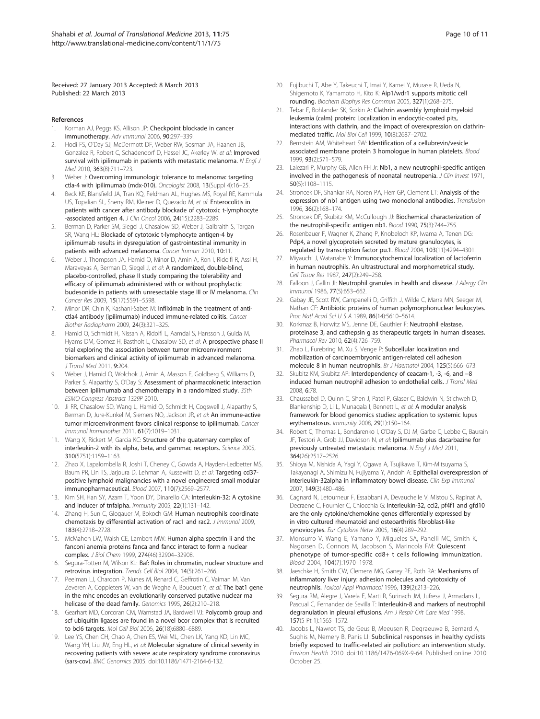<span id="page-9-0"></span>Received: 27 January 2013 Accepted: 8 March 2013 Published: 22 March 2013

#### References

- 1. Korman AJ, Peggs KS, Allison JP: Checkpoint blockade in cancer immunotherapy. Adv Immunol 2006, 90:297–339.
- 2. Hodi FS, O'Day SJ, McDermott DF, Weber RW, Sosman JA, Haanen JB, Gonzalez R, Robert C, Schadendorf D, Hassel JC, Akerley W, et al: Improved survival with ipilimumab in patients with metastatic melanoma. N Engl J Med 2010, 363(8):711–723.
- 3. Weber J: Overcoming immunologic tolerance to melanoma: targeting ctla-4 with ipilimumab (mdx-010). Oncologist 2008, 13(Suppl 4):16–25.
- 4. Beck KE, Blansfield JA, Tran KQ, Feldman AL, Hughes MS, Royal RE, Kammula US, Topalian SL, Sherry RM, Kleiner D, Quezado M, et al: Enterocolitis in patients with cancer after antibody blockade of cytotoxic t-lymphocyte -associated antigen 4. J Clin Oncol 2006, 24(15):2283–2289.
- 5. Berman D, Parker SM, Siegel J, Chasalow SD, Weber J, Galbraith S, Targan SR, Wang HL: Blockade of cytotoxic t-lymphocyte antigen-4 by ipilimumab results in dysregulation of gastrointestinal immunity in patients with advanced melanoma. Cancer Immun 2010, 10:11.
- 6. Weber J, Thompson JA, Hamid O, Minor D, Amin A, Ron I, Ridolfi R, Assi H, Maraveyas A, Berman D, Siegel J, et al: A randomized, double-blind, placebo-controlled, phase II study comparing the tolerability and efficacy of ipilimumab administered with or without prophylactic budesonide in patients with unresectable stage III or IV melanoma. Clin Cancer Res 2009, 15(17):5591–5598.
- 7. Minor DR, Chin K, Kashani-Sabet M: Infliximab in the treatment of antictla4 antibody (ipilimumab) induced immune-related colitis. Cancer Biother Radiopharm 2009, 24(3):321–325.
- 8. Hamid O, Schmidt H, Nissan A, Ridolfi L, Aamdal S, Hansson J, Guida M, Hyams DM, Gomez H, Bastholt L, Chasalow SD, et al: A prospective phase II trial exploring the association between tumor microenvironment biomarkers and clinical activity of ipilimumab in advanced melanoma. J Transl Med 2011, 9:204.
- 9. Weber J, Hamid O, Wolchok J, Amin A, Masson E, Goldberg S, Williams D, Parker S, Alaparthy S, O'Day S: Assessment of pharmacokinetic interaction between ipilimumab and chemotherapy in a randomized study. 35th ESMO Congress Abstract 1329P 2010.
- 10. Ji RR, Chasalow SD, Wang L, Hamid O, Schmidt H, Cogswell J, Alaparthy S, Berman D, Jure-Kunkel M, Siemers NO, Jackson JR, et al: An immune-active tumor microenvironment favors clinical response to ipilimumab. Cancer Immunol Immunother 2011, 61(7):1019–1031.
- 11. Wang X, Rickert M, Garcia KC: Structure of the quaternary complex of interleukin-2 with its alpha, beta, and gammac receptors. Science 2005, 310(5751):1159–1163.
- Zhao X, Lapalombella R, Joshi T, Cheney C, Gowda A, Hayden-Ledbetter MS, Baum PR, Lin TS, Jarjoura D, Lehman A, Kussewitt D, et al: Targeting cd37positive lymphoid malignancies with a novel engineered small modular immunopharmaceutical. Blood 2007, 110(7):2569–2577.
- 13. Kim SH, Han SY, Azam T, Yoon DY, Dinarello CA: Interleukin-32: A cytokine and inducer of tnfalpha. Immunity 2005, 22(1):131–142.
- 14. Zhang H, Sun C, Glogauer M, Bokoch GM: Human neutrophils coordinate chemotaxis by differential activation of rac1 and rac2. J Immunol 2009, 183(4):2718–2728.
- 15. McMahon LW, Walsh CE, Lambert MW: Human alpha spectrin ii and the fanconi anemia proteins fanca and fancc interact to form a nuclear complex. J Biol Chem 1999, 274(46):32904–32908.
- 16. Segura-Totten M, Wilson KL: Baf: Roles in chromatin, nuclear structure and retrovirus integration. Trends Cell Biol 2004, 14(5):261–266.
- 17. Peelman LJ, Chardon P, Nunes M, Renard C, Geffrotin C, Vaiman M, Van Zeveren A, Coppieters W, van de Weghe A, Bouquet Y, et al: The bat1 gene in the mhc encodes an evolutionarily conserved putative nuclear rna helicase of the dead family. Genomics 1995, 26(2):210-218.
- 18. Gearhart MD, Corcoran CM, Wamstad JA, Bardwell VJ: Polycomb group and scf ubiquitin ligases are found in a novel bcor complex that is recruited to bcl6 targets. Mol Cell Biol 2006, 26(18):6880–6889.
- 19. Lee YS, Chen CH, Chao A, Chen ES, Wei ML, Chen LK, Yang KD, Lin MC, Wang YH, Liu JW, Eng HL, et al: Molecular signature of clinical severity in recovering patients with severe acute respiratory syndrome coronavirus (sars-cov). BMC Genomics 2005. doi[:10.1186/1471-2164-6-132](http://dx.doi.org/10.1186/1471-2164-6-132).
- 20. Fujibuchi T, Abe Y, Takeuchi T, Imai Y, Kamei Y, Murase R, Ueda N, Shigemoto K, Yamamoto H, Kito K: Aip1/wdr1 supports mitotic cell rounding. Biochem Biophys Res Commun 2005, 327(1):268–275.
- 21. Tebar F, Bohlander SK, Sorkin A: Clathrin assembly lymphoid myeloid leukemia (calm) protein: Localization in endocytic-coated pits, interactions with clathrin, and the impact of overexpression on clathrinmediated traffic. Mol Biol Cell 1999, 10(8):2687–2702.
- 22. Bernstein AM, Whiteheart SW: Identification of a cellubrevin/vesicle associated membrane protein 3 homologue in human platelets. Blood 1999, 93(2):571–579.
- 23. Lalezari P, Murphy GB, Allen FH Jr: Nb1, a new neutrophil-specific antigen involved in the pathogenesis of neonatal neutropenia. *I Clin Invest* 1971, 50(5):1108–1115.
- 24. Stroncek DF, Shankar RA, Noren PA, Herr GP, Clement LT: Analysis of the expression of nb1 antigen using two monoclonal antibodies. Transfusion 1996, 36(2):168–174.
- 25. Stroncek DF, Skubitz KM, McCullough JJ: Biochemical characterization of the neutrophil-specific antigen nb1. Blood 1990, 75(3):744-755.
- 26. Rosenbauer F, Wagner K, Zhang P, Knobeloch KP, Iwama A, Tenen DG: Pdp4, a novel glycoprotein secreted by mature granulocytes, is regulated by transcription factor pu.1. Blood 2004, 103(11):4294–4301.
- Miyauchi J, Watanabe Y: Immunocytochemical localization of lactoferrin in human neutrophils. An ultrastructural and morphometrical study. Cell Tissue Res 1987, 247(2):249–258.
- 28. Falloon J, Gallin JI: Neutrophil granules in health and disease. J Allergy Clin Immunol 1986, 77(5):653–662.
- 29. Gabay JE, Scott RW, Campanelli D, Griffith J, Wilde C, Marra MN, Seeger M, Nathan CF: Antibiotic proteins of human polymorphonuclear leukocytes. Proc Natl Acad Sci U S A 1989, 86(14):5610-5614.
- 30. Korkmaz B, Horwitz MS, Jenne DE, Gauthier F: Neutrophil elastase, proteinase 3, and cathepsin g as therapeutic targets in human diseases. Pharmacol Rev 2010, 62(4):726–759.
- 31. Zhao L, Furebring M, Xu S, Venge P: Subcellular localization and mobilization of carcinoembryonic antigen-related cell adhesion molecule 8 in human neutrophils. Br J Haematol 2004, 125(5):666–673.
- 32. Skubitz KM, Skubitz AP: Interdependency of ceacam-1, -3, -6, and −8 induced human neutrophil adhesion to endothelial cells. J Transl Med 2008, 6:78.
- 33. Chaussabel D, Quinn C, Shen J, Patel P, Glaser C, Baldwin N, Stichweh D, Blankenship D, Li L, Munagala I, Bennett L, et al: A modular analysis framework for blood genomics studies: application to systemic lupus erythematosus. Immunity 2008, 29(1):150–164.
- 34. Robert C, Thomas L, Bondarenko I, O'Day S, DJ M, Garbe C, Lebbe C, Baurain JF, Testori A, Grob JJ, Davidson N, et al: Ipilimumab plus dacarbazine for previously untreated metastatic melanoma. N Engl J Med 2011, 364(26):2517–2526.
- 35. Shioya M, Nishida A, Yagi Y, Ogawa A, Tsujikawa T, Kim-Mitsuyama S, Takayanagi A, Shimizu N, Fujiyama Y, Andoh A: Epithelial overexpression of interleukin-32alpha in inflammatory bowel disease. Clin Exp Immunol 2007, 149(3):480–486.
- 36. Cagnard N, Letourneur F, Essabbani A, Devauchelle V, Mistou S, Rapinat A, Decraene C, Fournier C, Chiocchia G: Interleukin-32, ccl2, pf4f1 and gfd10 are the only cytokine/chemokine genes differentially expressed by in vitro cultured rheumatoid and osteoarthritis fibroblast-like synoviocytes. Eur Cytokine Netw 2005, 16(4):289–292.
- 37. Monsurro V, Wang E, Yamano Y, Migueles SA, Panelli MC, Smith K, Nagorsen D, Connors M, Jacobson S, Marincola FM: Quiescent phenotype of tumor-specific cd8+ t cells following immunization. Blood 2004, 104(7):1970–1978.
- 38. Jaeschke H, Smith CW, Clemens MG, Ganey PE, Roth RA: Mechanisms of inflammatory liver injury: adhesion molecules and cytotoxicity of neutrophils. Toxicol Appl Pharmacol 1996, 139(2):213–226.
- 39. Segura RM, Alegre J, Varela E, Marti R, Surinach JM, Jufresa J, Armadans L, Pascual C, Fernandez de Sevilla T: Interleukin-8 and markers of neutrophil degranulation in pleural effusions. Am J Respir Crit Care Med 1998, 157(5 Pt 1):1565–1572.
- 40. Jacobs L, Nawrot TS, de Geus B, Meeusen R, Degraeuwe B, Bernard A, Sughis M, Nemery B, Panis LI: Subclinical responses in healthy cyclists briefly exposed to traffic-related air pollution: an intervention study. Environ Health 2010. doi:[10.1186/1476-069X-9-64](http://dx.doi.org/10.1186/1476-069X-9-64). Published online 2010 October 25.